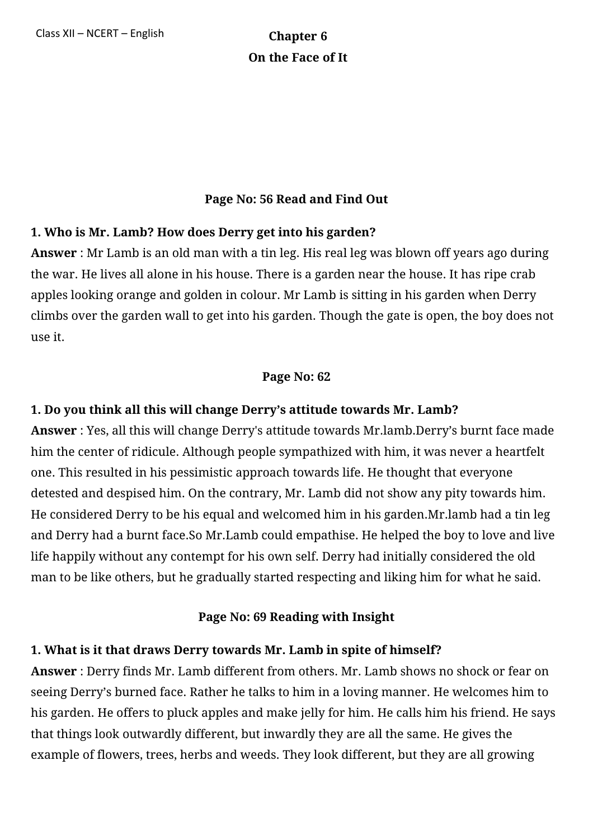# **Chapter 6 On the Face of It**

#### **Page No: 56 Read and Find Out**

#### **1. Who is Mr. Lamb? How does Derry get into his garden?**

**Answer** : Mr Lamb is an old man with a tin leg. His real leg was blown off years ago during the war. He lives all alone in his house. There is a garden near the house. It has ripe crab apples looking orange and golden in colour. Mr Lamb is sitting in his garden when Derry climbs over the garden wall to get into his garden. Though the gate is open, the boy does not use it.

#### **Page No: 62**

#### **1. Do you think all this will change Derry's attitude towards Mr. Lamb?**

Answer : Yes, all this will change Derry's attitude towards Mr.lamb.Derry's burnt face made him the center of ridicule. Although people sympathized with him, it was never a heartfelt one. This resulted in his pessimistic approach towards life. He thought that everyone detested and despised him. On the contrary, Mr. Lamb did not show any pity towards him. He considered Derry to be his equal and welcomed him in his garden.Mr.lamb had a tin leg and Derry had a burnt face.So Mr.Lamb could empathise. He helped the boy to love and live life happily without any contempt for his own self. Derry had initially considered the old man to be like others, but he gradually started respecting and liking him for what he said.

#### Page No: 69 Reading with Insight

### **1. What is it that draws Derry towards Mr. Lamb in spite of himself?**

**Answer** : Derry finds Mr. Lamb different from others. Mr. Lamb shows no shock or fear on seeing Derry's burned face. Rather he talks to him in a loving manner. He welcomes him to his garden. He offers to pluck apples and make jelly for him. He calls him his friend. He says that things look outwardly different, but inwardly they are all the same. He gives the example of flowers, trees, herbs and weeds. They look different, but they are all growing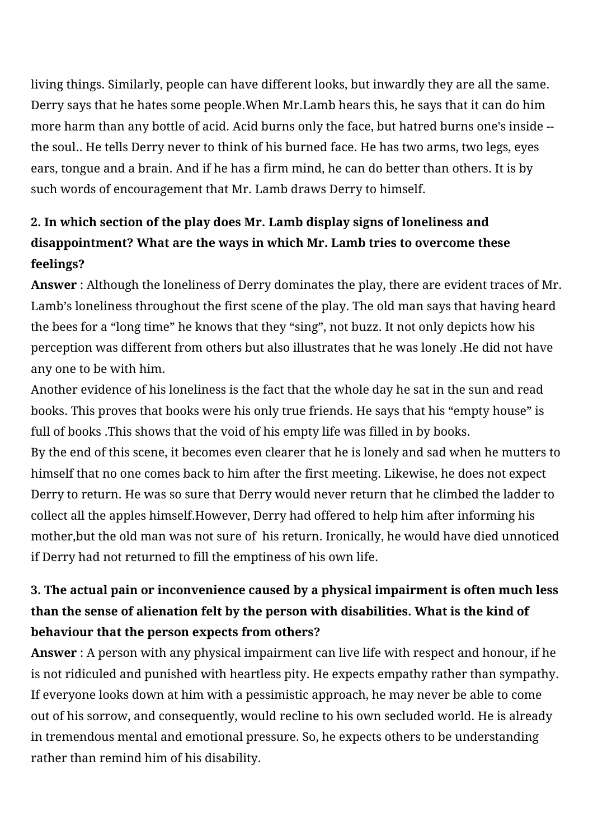living things. Similarly, people can have different looks, but inwardly they are all the same. Derry says that he hates some people. When Mr.Lamb hears this, he says that it can do him more harm than any bottle of acid. Acid burns only the face, but hatred burns one's inside -the soul.. He tells Derry never to think of his burned face. He has two arms, two legs, eyes ears, tongue and a brain. And if he has a firm mind, he can do better than others. It is by such words of encouragement that Mr. Lamb draws Derry to himself.

# 2. In which section of the play does Mr. Lamb display signs of loneliness and disappointment? What are the ways in which Mr. Lamb tries to overcome these **feelings?**

**Answer**: Although the loneliness of Derry dominates the play, there are evident traces of Mr. Lamb's loneliness throughout the first scene of the play. The old man says that having heard the bees for a "long time" he knows that they "sing", not buzz. It not only depicts how his perception was different from others but also illustrates that he was lonely .He did not have any one to be with him.

Another evidence of his loneliness is the fact that the whole day he sat in the sun and read books. This proves that books were his only true friends. He says that his "empty house" is full of books .This shows that the void of his empty life was filled in by books.

By the end of this scene, it becomes even clearer that he is lonely and sad when he mutters to himself that no one comes back to him after the first meeting. Likewise, he does not expect Derry to return. He was so sure that Derry would never return that he climbed the ladder to collect all the apples himself.However, Derry had offered to help him after informing his mother, but the old man was not sure of his return. Ironically, he would have died unnoticed if Derry had not returned to fill the emptiness of his own life.

## **3. The actual pain or inconvenience caused by a physical impairment is often much less** than the sense of alienation felt by the person with disabilities. What is the kind of **behaviour that the person expects from others?**

**Answer** : A person with any physical impairment can live life with respect and honour, if he is not ridiculed and punished with heartless pity. He expects empathy rather than sympathy. If everyone looks down at him with a pessimistic approach, he may never be able to come out of his sorrow, and consequently, would recline to his own secluded world. He is already in tremendous mental and emotional pressure. So, he expects others to be understanding rather than remind him of his disability.